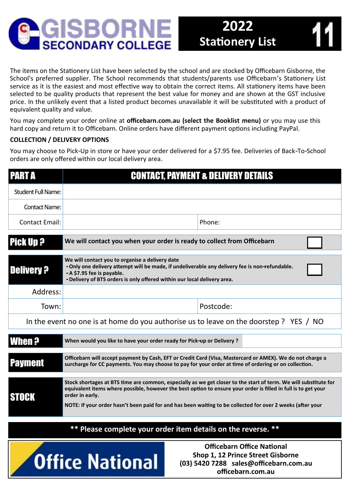

The items on the Stationery List have been selected by the school and are stocked by Officebarn Gisborne, the School's preferred supplier. The School recommends that students/parents use Officebarn's Stationery List service as it is the easiest and most effective way to obtain the correct items. All stationery items have been selected to be quality products that represent the best value for money and are shown at the GST inclusive price. In the unlikely event that a listed product becomes unavailable it will be substituted with a product of equivalent quality and value.

You may complete your order online at **officebarn.com.au (select the Booklist menu)** or you may use this hard copy and return it to Officebarn. Online orders have different payment options including PayPal.

## **COLLECTION / DELIVERY OPTIONS**

You may choose to Pick-Up in store or have your order delivered for a \$7.95 fee. Deliveries of Back-To-School orders are only offered within our local delivery area.

| <b>PART A</b>                                                                                                                       |                                                                                                                                                                                                                                                                                                                                                                     | <b>CONTACT, PAYMENT &amp; DELIVERY DETAILS</b> |  |  |  |  |  |
|-------------------------------------------------------------------------------------------------------------------------------------|---------------------------------------------------------------------------------------------------------------------------------------------------------------------------------------------------------------------------------------------------------------------------------------------------------------------------------------------------------------------|------------------------------------------------|--|--|--|--|--|
| <b>Student Full Name:</b>                                                                                                           |                                                                                                                                                                                                                                                                                                                                                                     |                                                |  |  |  |  |  |
| <b>Contact Name:</b>                                                                                                                |                                                                                                                                                                                                                                                                                                                                                                     |                                                |  |  |  |  |  |
| <b>Contact Email:</b>                                                                                                               |                                                                                                                                                                                                                                                                                                                                                                     | Phone:                                         |  |  |  |  |  |
| <b>Pick Up ?</b>                                                                                                                    | We will contact you when your order is ready to collect from Officebarn                                                                                                                                                                                                                                                                                             |                                                |  |  |  |  |  |
| <b>Delivery ?</b>                                                                                                                   | We will contact you to organise a delivery date<br>- Only one delivery attempt will be made, if undeliverable any delivery fee is non-refundable.<br>- A \$7.95 fee is payable.<br>- Delivery of BTS orders is only offered within our local delivery area.                                                                                                         |                                                |  |  |  |  |  |
| Address:                                                                                                                            |                                                                                                                                                                                                                                                                                                                                                                     |                                                |  |  |  |  |  |
| Town:                                                                                                                               |                                                                                                                                                                                                                                                                                                                                                                     | Postcode:                                      |  |  |  |  |  |
| In the event no one is at home do you authorise us to leave on the doorstep ? YES / NO                                              |                                                                                                                                                                                                                                                                                                                                                                     |                                                |  |  |  |  |  |
| When ?                                                                                                                              | When would you like to have your order ready for Pick-up or Delivery ?                                                                                                                                                                                                                                                                                              |                                                |  |  |  |  |  |
| <b>Payment</b>                                                                                                                      | Officebarn will accept payment by Cash, EFT or Credit Card (Visa, Mastercard or AMEX). We do not charge a<br>surcharge for CC payments. You may choose to pay for your order at time of ordering or on collection.                                                                                                                                                  |                                                |  |  |  |  |  |
| <b>STOCK</b>                                                                                                                        | Stock shortages at BTS time are common, especially as we get closer to the start of term. We will substitute for<br>equivalent items where possible, however the best option to ensure your order is filled in full is to get your<br>order in early.<br>NOTE: If your order hasn't been paid for and has been waiting to be collected for over 2 weeks (after your |                                                |  |  |  |  |  |
| ** Please complete your order item details on the reverse. **                                                                       |                                                                                                                                                                                                                                                                                                                                                                     |                                                |  |  |  |  |  |
| <b>Officebarn Office National</b><br>Shop 1, 12 Prince Street Gisborne<br>Office National<br>(03) 5420 7288 sales@officebarn.com.au |                                                                                                                                                                                                                                                                                                                                                                     |                                                |  |  |  |  |  |

**officebarn.com.au**